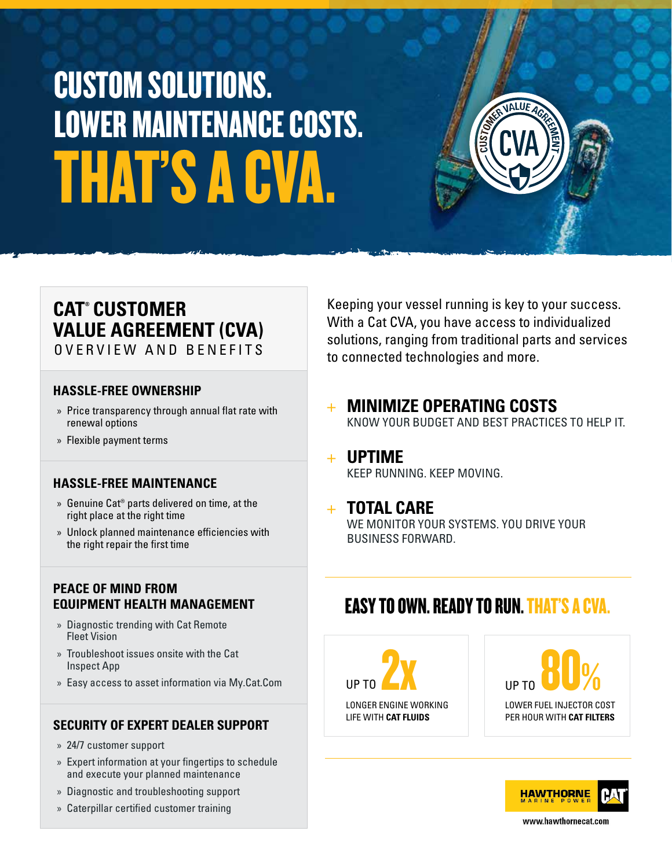# THAT'S A CVA. CUSTOM SOLUTIONS. LOWER MAINTENANCE COSTS.

### **CAT® CUSTOMER VALUE AGREEMENT (CVA)**

OVERVIEW AND BENEFITS

#### **HASSLE-FREE OWNERSHIP**

- » Price transparency through annual flat rate with renewal options
- » Flexible payment terms

#### **HASSLE-FREE MAINTENANCE**

- » Genuine Cat® parts delivered on time, at the right place at the right time
- » Unlock planned maintenance efficiencies with the right repair the first time

#### **PEACE OF MIND FROM EQUIPMENT HEALTH MANAGEMENT**

- » Diagnostic trending with Cat Remote Fleet Vision
- » Troubleshoot issues onsite with the Cat Inspect App
- » Easy access to asset information via My.Cat.Com

#### **SECURITY OF EXPERT DEALER SUPPORT**

- » 24/7 customer support
- » Expert information at your fingertips to schedule and execute your planned maintenance
- » Diagnostic and troubleshooting support
- » Caterpillar certified customer training

Keeping your vessel running is key to your success. With a Cat CVA, you have access to individualized solutions, ranging from traditional parts and services to connected technologies and more.

+ **MINIMIZE OPERATING COSTS** KNOW YOUR BUDGET AND BEST PRACTICES TO HELP IT.

#### + **UPTIME** KEEP RUNNING. KEEP MOVING.

#### + **TOTAL CARE**

WE MONITOR YOUR SYSTEMS. YOU DRIVE YOUR BUSINESS FORWARD.

### EASY TO OWN. READY TO RUN. THAT'S A CVA.



LOWER FUEL INJECTOR COST PER HOUR WITH **CAT FILTERS** UP TO  $90%$ 



www.hawthornecat.com